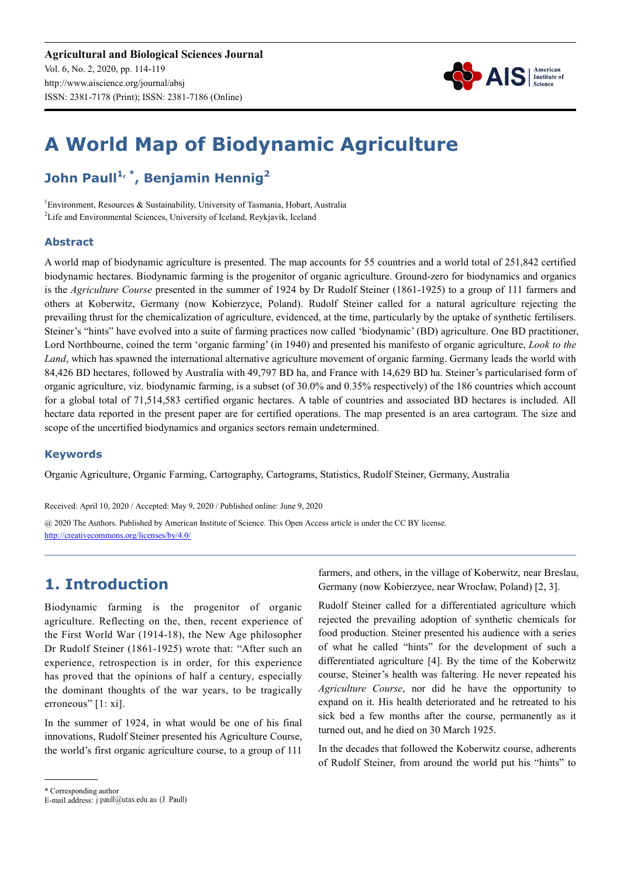

# **A World Map of Biodynamic Agriculture**

## **John Paull1, \*, Benjamin Hennig<sup>2</sup>**

1 Environment, Resources & Sustainability, University of Tasmania, Hobart, Australia <sup>2</sup>Life and Environmental Sciences, University of Iceland, Reykjavík, Iceland

#### **Abstract**

A world map of biodynamic agriculture is presented. The map accounts for 55 countries and a world total of 251,842 certified biodynamic hectares. Biodynamic farming is the progenitor of organic agriculture. Ground-zero for biodynamics and organics is the *Agriculture Course* presented in the summer of 1924 by Dr Rudolf Steiner (1861-1925) to a group of 111 farmers and others at Koberwitz, Germany (now Kobierzyce, Poland). Rudolf Steiner called for a natural agriculture rejecting the prevailing thrust for the chemicalization of agriculture, evidenced, at the time, particularly by the uptake of synthetic fertilisers. Steiner's "hints" have evolved into a suite of farming practices now called 'biodynamic' (BD) agriculture. One BD practitioner, Lord Northbourne, coined the term 'organic farming' (in 1940) and presented his manifesto of organic agriculture, *Look to the Land*, which has spawned the international alternative agriculture movement of organic farming. Germany leads the world with 84,426 BD hectares, followed by Australia with 49,797 BD ha, and France with 14,629 BD ha. Steiner's particularised form of organic agriculture, viz. biodynamic farming, is a subset (of 30.0% and 0.35% respectively) of the 186 countries which account for a global total of 71,514,583 certified organic hectares. A table of countries and associated BD hectares is included. All hectare data reported in the present paper are for certified operations. The map presented is an area cartogram. The size and scope of the uncertified biodynamics and organics sectors remain undetermined.

#### **Keywords**

Organic Agriculture, Organic Farming, Cartography, Cartograms, Statistics, Rudolf Steiner, Germany, Australia

Received: April 10, 2020 / Accepted: May 9, 2020 / Published online: June 9, 2020

@ 2020 The Authors. Published by American Institute of Science. This Open Access article is under the CC BY license. http://creativecommons.org/licenses/by/4.0/

## **1. Introduction**

Biodynamic farming is the progenitor of organic agriculture. Reflecting on the, then, recent experience of the First World War (1914-18), the New Age philosopher Dr Rudolf Steiner (1861-1925) wrote that: "After such an experience, retrospection is in order, for this experience has proved that the opinions of half a century, especially the dominant thoughts of the war years, to be tragically erroneous" [1: xi].

In the summer of 1924, in what would be one of his final innovations, Rudolf Steiner presented his Agriculture Course, the world's first organic agriculture course, to a group of 111

farmers, and others, in the village of Koberwitz, near Breslau, Germany (now Kobierzyce, near Wrocław, Poland) [2, 3].

Rudolf Steiner called for a differentiated agriculture which rejected the prevailing adoption of synthetic chemicals for food production. Steiner presented his audience with a series of what he called "hints" for the development of such a differentiated agriculture [4]. By the time of the Koberwitz course, Steiner's health was faltering. He never repeated his *Agriculture Course*, nor did he have the opportunity to expand on it. His health deteriorated and he retreated to his sick bed a few months after the course, permanently as it turned out, and he died on 30 March 1925.

In the decades that followed the Koberwitz course, adherents of Rudolf Steiner, from around the world put his "hints" to

<sup>\*</sup> Corresponding author

E-mail address: j.paull@utas.edu.au (J. Paull)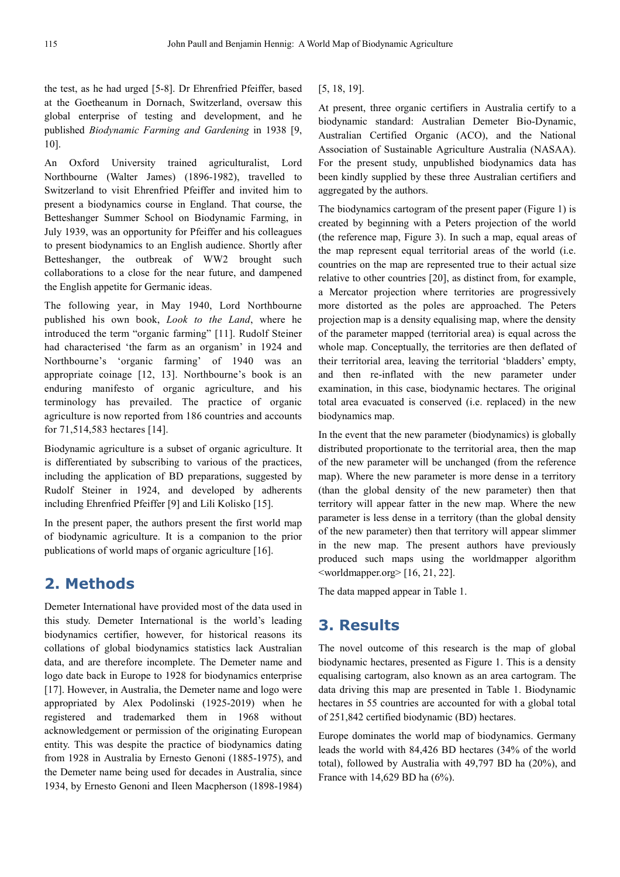the test, as he had urged [5-8]. Dr Ehrenfried Pfeiffer, based at the Goetheanum in Dornach, Switzerland, oversaw this global enterprise of testing and development, and he published *Biodynamic Farming and Gardening* in 1938 [9, 10].

An Oxford University trained agriculturalist, Lord Northbourne (Walter James) (1896-1982), travelled to Switzerland to visit Ehrenfried Pfeiffer and invited him to present a biodynamics course in England. That course, the Betteshanger Summer School on Biodynamic Farming, in July 1939, was an opportunity for Pfeiffer and his colleagues to present biodynamics to an English audience. Shortly after Betteshanger, the outbreak of WW2 brought such collaborations to a close for the near future, and dampened the English appetite for Germanic ideas.

The following year, in May 1940, Lord Northbourne published his own book, *Look to the Land*, where he introduced the term "organic farming" [11]. Rudolf Steiner had characterised 'the farm as an organism' in 1924 and Northbourne's 'organic farming' of 1940 was an appropriate coinage [12, 13]. Northbourne's book is an enduring manifesto of organic agriculture, and his terminology has prevailed. The practice of organic agriculture is now reported from 186 countries and accounts for 71,514,583 hectares [14].

Biodynamic agriculture is a subset of organic agriculture. It is differentiated by subscribing to various of the practices, including the application of BD preparations, suggested by Rudolf Steiner in 1924, and developed by adherents including Ehrenfried Pfeiffer [9] and Lili Kolisko [15].

In the present paper, the authors present the first world map of biodynamic agriculture. It is a companion to the prior publications of world maps of organic agriculture [16].

## **2. Methods**

Demeter International have provided most of the data used in this study. Demeter International is the world's leading biodynamics certifier, however, for historical reasons its collations of global biodynamics statistics lack Australian data, and are therefore incomplete. The Demeter name and logo date back in Europe to 1928 for biodynamics enterprise [17]. However, in Australia, the Demeter name and logo were appropriated by Alex Podolinski (1925-2019) when he registered and trademarked them in 1968 without acknowledgement or permission of the originating European entity. This was despite the practice of biodynamics dating from 1928 in Australia by Ernesto Genoni (1885-1975), and the Demeter name being used for decades in Australia, since 1934, by Ernesto Genoni and Ileen Macpherson (1898-1984) [5, 18, 19].

At present, three organic certifiers in Australia certify to a biodynamic standard: Australian Demeter Bio-Dynamic, Australian Certified Organic (ACO), and the National Association of Sustainable Agriculture Australia (NASAA). For the present study, unpublished biodynamics data has been kindly supplied by these three Australian certifiers and aggregated by the authors.

The biodynamics cartogram of the present paper (Figure 1) is created by beginning with a Peters projection of the world (the reference map, Figure 3). In such a map, equal areas of the map represent equal territorial areas of the world (i.e. countries on the map are represented true to their actual size relative to other countries [20], as distinct from, for example, a Mercator projection where territories are progressively more distorted as the poles are approached. The Peters projection map is a density equalising map, where the density of the parameter mapped (territorial area) is equal across the whole map. Conceptually, the territories are then deflated of their territorial area, leaving the territorial 'bladders' empty, and then re-inflated with the new parameter under examination, in this case, biodynamic hectares. The original total area evacuated is conserved (i.e. replaced) in the new biodynamics map.

In the event that the new parameter (biodynamics) is globally distributed proportionate to the territorial area, then the map of the new parameter will be unchanged (from the reference map). Where the new parameter is more dense in a territory (than the global density of the new parameter) then that territory will appear fatter in the new map. Where the new parameter is less dense in a territory (than the global density of the new parameter) then that territory will appear slimmer in the new map. The present authors have previously produced such maps using the worldmapper algorithm  $\leq$ worldmapper.org $>$  [16, 21, 22].

The data mapped appear in Table 1.

## **3. Results**

The novel outcome of this research is the map of global biodynamic hectares, presented as Figure 1. This is a density equalising cartogram, also known as an area cartogram. The data driving this map are presented in Table 1. Biodynamic hectares in 55 countries are accounted for with a global total of 251,842 certified biodynamic (BD) hectares.

Europe dominates the world map of biodynamics. Germany leads the world with 84,426 BD hectares (34% of the world total), followed by Australia with 49,797 BD ha (20%), and France with 14,629 BD ha (6%).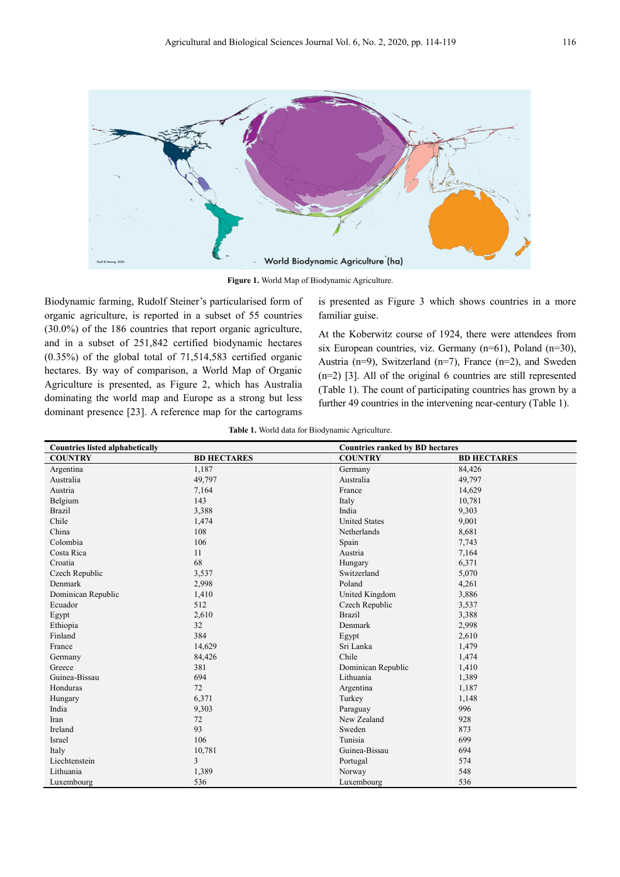

**Figure 1.** World Map of Biodynamic Agriculture.

Biodynamic farming, Rudolf Steiner's particularised form of organic agriculture, is reported in a subset of 55 countries (30.0%) of the 186 countries that report organic agriculture, and in a subset of 251,842 certified biodynamic hectares (0.35%) of the global total of 71,514,583 certified organic hectares. By way of comparison, a World Map of Organic Agriculture is presented, as Figure 2, which has Australia dominating the world map and Europe as a strong but less dominant presence [23]. A reference map for the cartograms

is presented as Figure 3 which shows countries in a more familiar guise.

At the Koberwitz course of 1924, there were attendees from six European countries, viz. Germany (n=61), Poland (n=30), Austria (n=9), Switzerland (n=7), France (n=2), and Sweden (n=2) [3]. All of the original 6 countries are still represented (Table 1). The count of participating countries has grown by a further 49 countries in the intervening near-century (Table 1).

|  |  |  |  |  | Table 1. World data for Biodynamic Agriculture. |
|--|--|--|--|--|-------------------------------------------------|
|--|--|--|--|--|-------------------------------------------------|

| <b>Countries listed alphabetically</b> |                    | <b>Countries ranked by BD hectares</b> |                    |  |
|----------------------------------------|--------------------|----------------------------------------|--------------------|--|
| <b>COUNTRY</b>                         | <b>BD HECTARES</b> | <b>COUNTRY</b>                         | <b>BD HECTARES</b> |  |
| Argentina                              | 1,187              | Germany                                | 84,426             |  |
| Australia                              | 49,797             | Australia                              | 49,797             |  |
| Austria                                | 7,164              | France                                 | 14,629             |  |
| Belgium                                | 143                | Italy                                  | 10,781             |  |
| <b>Brazil</b>                          | 3,388              | India                                  | 9,303              |  |
| Chile                                  | 1,474              | <b>United States</b>                   | 9,001              |  |
| China                                  | 108                | Netherlands                            | 8,681              |  |
| Colombia                               | 106                | Spain                                  | 7,743              |  |
| Costa Rica                             | 11                 | Austria                                | 7,164              |  |
| Croatia                                | 68                 | Hungary                                | 6,371              |  |
| Czech Republic                         | 3,537              | Switzerland                            | 5,070              |  |
| Denmark                                | 2,998              | Poland                                 | 4,261              |  |
| Dominican Republic                     | 1,410              | United Kingdom                         | 3,886              |  |
| Ecuador                                | 512                | Czech Republic                         | 3,537              |  |
| Egypt                                  | 2,610              | <b>Brazil</b>                          | 3,388              |  |
| Ethiopia                               | 32                 | Denmark                                | 2,998              |  |
| Finland                                | 384                | Egypt                                  | 2,610              |  |
| France                                 | 14,629             | Sri Lanka                              | 1,479              |  |
| Germany                                | 84,426             | Chile                                  | 1,474              |  |
| Greece                                 | 381                | Dominican Republic                     | 1,410              |  |
| Guinea-Bissau                          | 694                | Lithuania                              | 1,389              |  |
| Honduras                               | 72                 | Argentina                              | 1,187              |  |
| Hungary                                | 6,371              | Turkey                                 | 1,148              |  |
| India                                  | 9,303              | Paraguay                               | 996                |  |
| Iran                                   | 72                 | New Zealand                            | 928                |  |
| Ireland                                | 93                 | Sweden                                 | 873                |  |
| Israel                                 | 106                | Tunisia                                | 699                |  |
| Italy                                  | 10,781             | Guinea-Bissau                          | 694                |  |
| Liechtenstein                          | 3                  | Portugal                               | 574                |  |
| Lithuania                              | 1,389              | Norway                                 | 548                |  |
| Luxembourg                             | 536                | Luxembourg                             | 536                |  |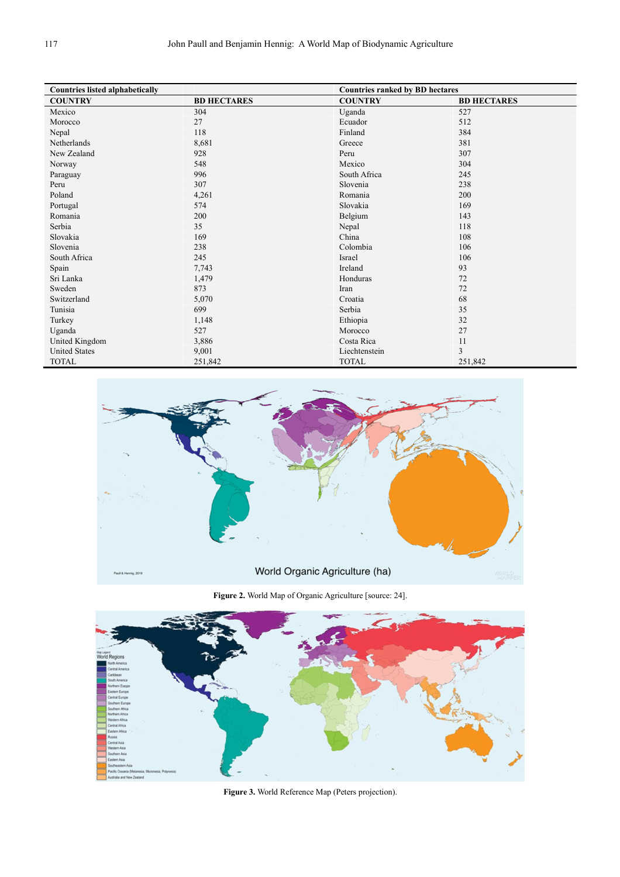| <b>Countries listed alphabetically</b> |                    | <b>Countries ranked by BD hectares</b> |                    |
|----------------------------------------|--------------------|----------------------------------------|--------------------|
| <b>COUNTRY</b>                         | <b>BD HECTARES</b> | <b>COUNTRY</b>                         | <b>BD HECTARES</b> |
| Mexico                                 | 304                | Uganda                                 | 527                |
| Morocco                                | 27                 | Ecuador                                | 512                |
| Nepal                                  | 118                | Finland                                | 384                |
| Netherlands                            | 8,681              | Greece                                 | 381                |
| New Zealand                            | 928                | Peru                                   | 307                |
| Norway                                 | 548                | Mexico                                 | 304                |
| Paraguay                               | 996                | South Africa                           | 245                |
| Peru                                   | 307                | Slovenia                               | 238                |
| Poland                                 | 4,261              | Romania                                | 200                |
| Portugal                               | 574                | Slovakia                               | 169                |
| Romania                                | 200                | Belgium                                | 143                |
| Serbia                                 | 35                 | Nepal                                  | 118                |
| Slovakia                               | 169                | China                                  | 108                |
| Slovenia                               | 238                | Colombia                               | 106                |
| South Africa                           | 245                | Israel                                 | 106                |
| Spain                                  | 7,743              | Ireland                                | 93                 |
| Sri Lanka                              | 1,479              | Honduras                               | 72                 |
| Sweden                                 | 873                | Iran                                   | 72                 |
| Switzerland                            | 5,070              | Croatia                                | 68                 |
| Tunisia                                | 699                | Serbia                                 | 35                 |
| Turkey                                 | 1,148              | Ethiopia                               | 32                 |
| Uganda                                 | 527                | Morocco                                | 27                 |
| United Kingdom                         | 3,886              | Costa Rica                             | 11                 |
| <b>United States</b>                   | 9,001              | Liechtenstein                          | 3                  |
| <b>TOTAL</b>                           | 251,842            | <b>TOTAL</b>                           | 251,842            |





**Figure 3.** World Reference Map (Peters projection).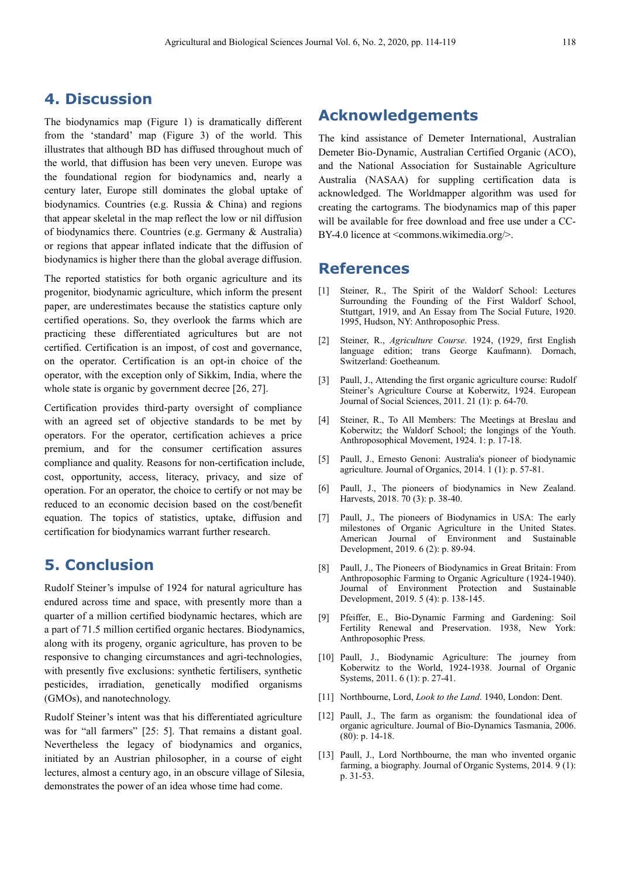#### **4. Discussion**

The biodynamics map (Figure 1) is dramatically different from the 'standard' map (Figure 3) of the world. This illustrates that although BD has diffused throughout much of the world, that diffusion has been very uneven. Europe was the foundational region for biodynamics and, nearly a century later, Europe still dominates the global uptake of biodynamics. Countries (e.g. Russia & China) and regions that appear skeletal in the map reflect the low or nil diffusion of biodynamics there. Countries (e.g. Germany & Australia) or regions that appear inflated indicate that the diffusion of biodynamics is higher there than the global average diffusion.

The reported statistics for both organic agriculture and its progenitor, biodynamic agriculture, which inform the present paper, are underestimates because the statistics capture only certified operations. So, they overlook the farms which are practicing these differentiated agricultures but are not certified. Certification is an impost, of cost and governance, on the operator. Certification is an opt-in choice of the operator, with the exception only of Sikkim, India, where the whole state is organic by government decree [26, 27].

Certification provides third-party oversight of compliance with an agreed set of objective standards to be met by operators. For the operator, certification achieves a price premium, and for the consumer certification assures compliance and quality. Reasons for non-certification include, cost, opportunity, access, literacy, privacy, and size of operation. For an operator, the choice to certify or not may be reduced to an economic decision based on the cost/benefit equation. The topics of statistics, uptake, diffusion and certification for biodynamics warrant further research.

## **5. Conclusion**

Rudolf Steiner's impulse of 1924 for natural agriculture has endured across time and space, with presently more than a quarter of a million certified biodynamic hectares, which are a part of 71.5 million certified organic hectares. Biodynamics, along with its progeny, organic agriculture, has proven to be responsive to changing circumstances and agri-technologies, with presently five exclusions: synthetic fertilisers, synthetic pesticides, irradiation, genetically modified organisms (GMOs), and nanotechnology.

Rudolf Steiner's intent was that his differentiated agriculture was for "all farmers" [25: 5]. That remains a distant goal. Nevertheless the legacy of biodynamics and organics, initiated by an Austrian philosopher, in a course of eight lectures, almost a century ago, in an obscure village of Silesia, demonstrates the power of an idea whose time had come.

#### **Acknowledgements**

The kind assistance of Demeter International, Australian Demeter Bio-Dynamic, Australian Certified Organic (ACO), and the National Association for Sustainable Agriculture Australia (NASAA) for suppling certification data is acknowledged. The Worldmapper algorithm was used for creating the cartograms. The biodynamics map of this paper will be available for free download and free use under a CC-BY-4.0 licence at <commons.wikimedia.org/>.

#### **References**

- [1] Steiner, R., The Spirit of the Waldorf School: Lectures Surrounding the Founding of the First Waldorf School, Stuttgart, 1919, and An Essay from The Social Future, 1920. 1995, Hudson, NY: Anthroposophic Press.
- [2] Steiner, R., *Agriculture Course*. 1924, (1929, first English language edition; trans George Kaufmann). Dornach, Switzerland: Goetheanum.
- [3] Paull, J., Attending the first organic agriculture course: Rudolf Steiner's Agriculture Course at Koberwitz, 1924. European Journal of Social Sciences, 2011. 21 (1): p. 64-70.
- [4] Steiner, R., To All Members: The Meetings at Breslau and Koberwitz; the Waldorf School; the longings of the Youth. Anthroposophical Movement, 1924. 1: p. 17-18.
- [5] Paull, J., Ernesto Genoni: Australia's pioneer of biodynamic agriculture. Journal of Organics, 2014. 1 (1): p. 57-81.
- [6] Paull, J., The pioneers of biodynamics in New Zealand. Harvests, 2018. 70 (3): p. 38-40.
- [7] Paull, J., The pioneers of Biodynamics in USA: The early milestones of Organic Agriculture in the United States. American Journal of Environment and Sustainable Development, 2019. 6 (2): p. 89-94.
- [8] Paull, J., The Pioneers of Biodynamics in Great Britain: From Anthroposophic Farming to Organic Agriculture (1924-1940). Journal of Environment Protection and Sustainable Development, 2019. 5 (4): p. 138-145.
- [9] Pfeiffer, E., Bio-Dynamic Farming and Gardening: Soil Fertility Renewal and Preservation. 1938, New York: Anthroposophic Press.
- [10] Paull, J., Biodynamic Agriculture: The journey from Koberwitz to the World, 1924-1938. Journal of Organic Systems, 2011. 6 (1): p. 27-41.
- [11] Northbourne, Lord, *Look to the Land*. 1940, London: Dent.
- [12] Paull, J., The farm as organism: the foundational idea of organic agriculture. Journal of Bio-Dynamics Tasmania, 2006. (80): p. 14-18.
- [13] Paull, J., Lord Northbourne, the man who invented organic farming, a biography. Journal of Organic Systems, 2014. 9 (1): p. 31-53.